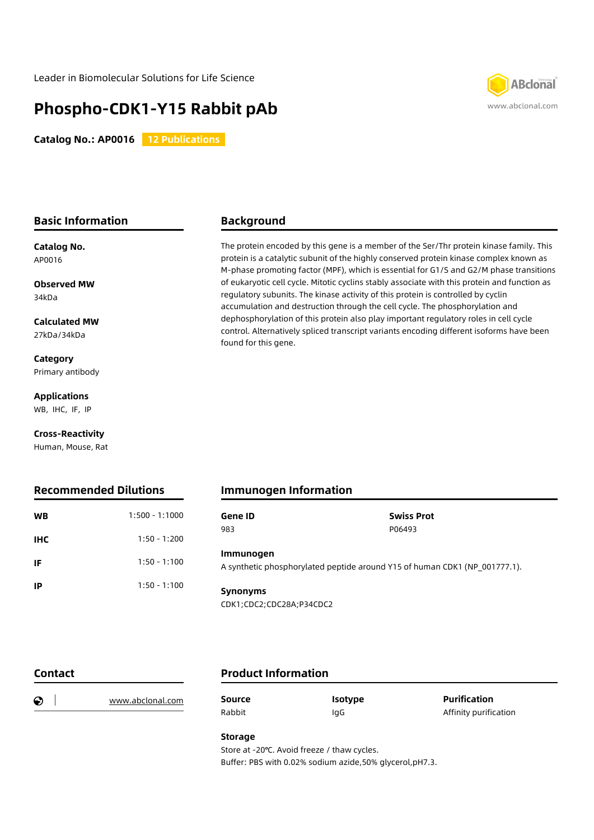# **Phospho-CDK1-Y15 Rabbit pAb**

**Catalog No.: AP0016 12 Publications** 



#### **Basic Information**

**Catalog No.** AP0016

**Observed MW** 34kDa

**Calculated MW** 27kDa/34kDa

**Category** Primary antibody

**Applications** WB, IHC, IF, IP

**Cross-Reactivity**

Human, Mouse, Rat

### **Recommended Dilutions**

# **Background**

The protein encoded by this gene is a member of the Ser/Thr protein kinase family. This protein is a catalytic subunit of the highly conserved protein kinase complex known as M-phase promoting factor (MPF), which is essential for G1/S and G2/M phase transitions of eukaryotic cell cycle. Mitotic cyclins stably associate with this protein and function as regulatory subunits. The kinase activity of this protein is controlled by cyclin accumulation and destruction through the cell cycle. The phosphorylation and dephosphorylation of this protein also play important regulatory roles in cell cycle control. Alternatively spliced transcript variants encoding different isoforms have been found for this gene.

## **Immunogen Information**

| <b>WB</b>  | $1:500 - 1:1000$ | Gene ID<br>983                                                                          | <b>Swiss Prot</b><br>P06493 |  |
|------------|------------------|-----------------------------------------------------------------------------------------|-----------------------------|--|
| <b>IHC</b> | $1:50 - 1:200$   |                                                                                         |                             |  |
| IF         | $1:50 - 1:100$   | Immunogen<br>A synthetic phosphorylated peptide around Y15 of human CDK1 (NP 001777.1). |                             |  |
| IP         | $1:50 - 1:100$   | <b>Synonyms</b>                                                                         |                             |  |
|            |                  | CDK1;CDC2;CDC28A;P34CDC2                                                                |                             |  |

**Contact**

### **Product Information**

| € | www.abclonal.com | Source | <b>Isotype</b> | <b>Purification</b>   |
|---|------------------|--------|----------------|-----------------------|
|   |                  | Rabbit | lgC            | Affinity purification |

**Storage**

Store at -20℃. Avoid freeze / thaw cycles. Buffer: PBS with 0.02% sodium azide,50% glycerol,pH7.3.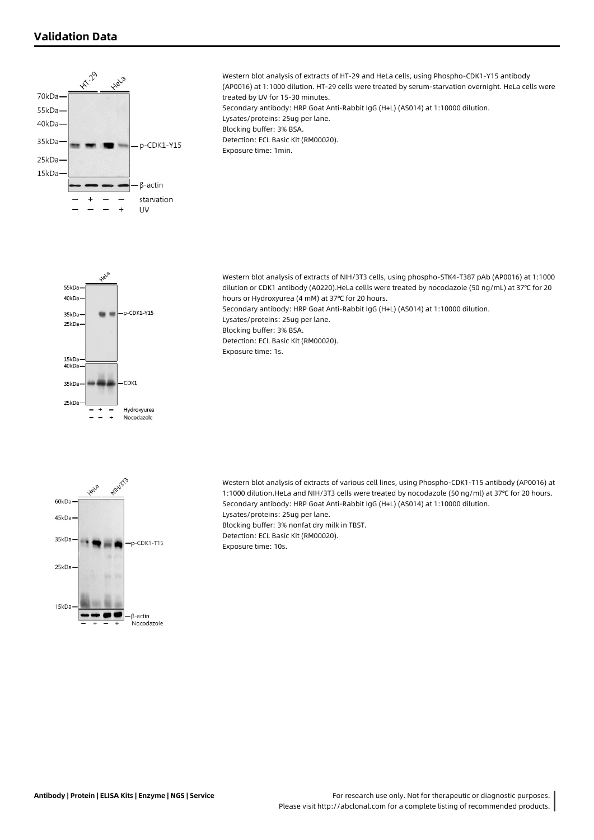### **Validation Data**

15kDa  $40kDz$ 

35kDa  $25kD$ 







CDK<sub>1</sub>

Hydroxyurea Nocodazole

> Western blot analysis of extracts of various cell lines, using Phospho-CDK1-T15 antibody (AP0016) at 1:1000 dilution.HeLa and NIH/3T3 cells were treated by nocodazole (50 ng/ml) at 37℃ for 20 hours. Secondary antibody: HRP Goat Anti-Rabbit IgG (H+L) (AS014) at 1:10000 dilution. Lysates/proteins: 25ug per lane. Blocking buffer: 3% nonfat dry milk in TBST. Detection: ECL Basic Kit (RM00020). Exposure time: 10s.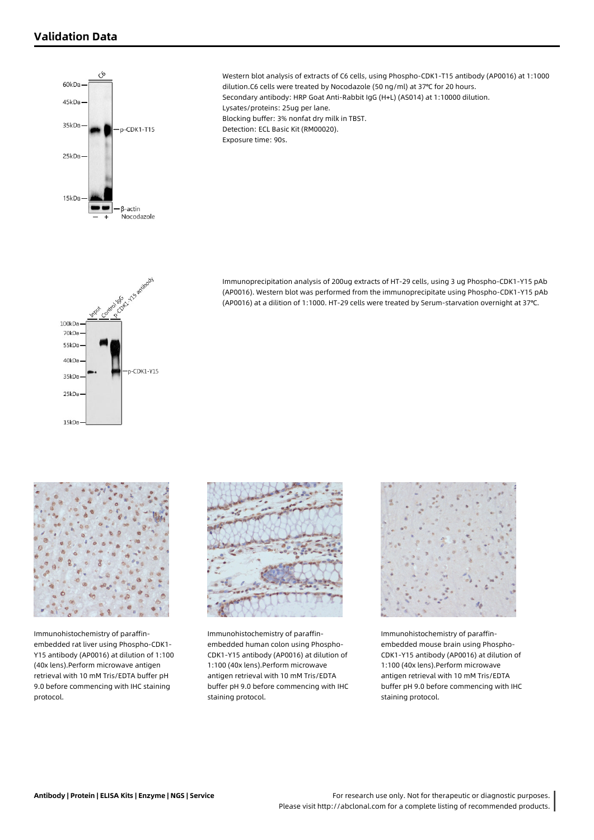



15kDa

Immunohistochemistry of paraffinembedded rat liver using Phospho-CDK1- Y15 antibody (AP0016) at dilution of 1:100 (40x lens).Perform microwave antigen retrieval with 10 mM Tris/EDTA buffer pH 9.0 before commencing with IHC staining protocol.



Immunohistochemistry of paraffinembedded human colon using Phospho-CDK1-Y15 antibody (AP0016) at dilution of 1:100 (40x lens).Perform microwave antigen retrieval with 10 mM Tris/EDTA buffer pH 9.0 before commencing with IHC staining protocol.



Immunohistochemistry of paraffinembedded mouse brain using Phospho-CDK1-Y15 antibody (AP0016) at dilution of 1:100 (40x lens).Perform microwave antigen retrieval with 10 mM Tris/EDTA buffer pH 9.0 before commencing with IHC staining protocol.